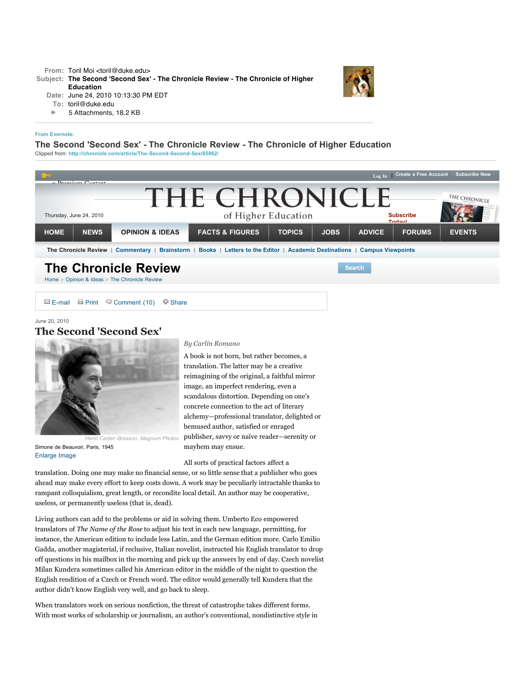## **[From Evernote:](http://www.evernote.com/)**

## **The Second 'Second Sex' - The Chronicle Review - The Chronicle of Higher Education**

Clipped from: **<http://chronicle.com/article/The-Second-Second-Sex/65962/>**



 $\Box$  [E-mail](http://chronicle.com/myaccount/login?msg=emailfriend)  $\Box$  Print  $\Box$  [Comment \(10\)](http://chronicle.com/article/The-Second-Second-Sex/65962/#comments)  $\Box$  [Share](http://chronicle.com/article/The-Second-Second-Sex/65962/#)

June 20, 2010

## **The Second 'Second Sex'**



Simone de Beauvoir, Paris, 1945 [Enlarge Image](http://chronicle.com/article/The-Second-Second-Sex/65962/#)

## *By Carlin Romano*

A book is not born, but rather becomes, a translation. The latter may be a creative reimagining of the original, a faithful mirror image, an imperfect rendering, even a scandalous distortion. Depending on one's concrete connection to the act of literary alchemy—professional translator, delighted or bemused author, satisfied or enraged publisher, savvy or naïve reader—serenity or mayhem may ensue.

All sorts of practical factors affect a

translation. Doing one may make no financial sense, or so little sense that a publisher who goes ahead may make every effort to keep costs down. A work may be peculiarly intractable thanks to rampant colloquialism, great length, or recondite local detail. An author may be cooperative, useless, or permanently useless (that is, dead).

Living authors can add to the problems or aid in solving them. Umberto Eco empowered translators of *The Name of the Rose* to adjust his text in each new language, permitting, for instance, the American edition to include less Latin, and the German edition more. Carlo Emilio Gadda, another magisterial, if reclusive, Italian novelist, instructed his English translator to drop off questions in his mailbox in the morning and pick up the answers by end of day. Czech novelist Milan Kundera sometimes called his American editor in the middle of the night to question the English rendition of a Czech or French word. The editor would generally tell Kundera that the author didn't know English very well, and go back to sleep.

When translators work on serious nonfiction, the threat of catastrophe takes different forms. With most works of scholarship or journalism, an author's conventional, nondistinctive style in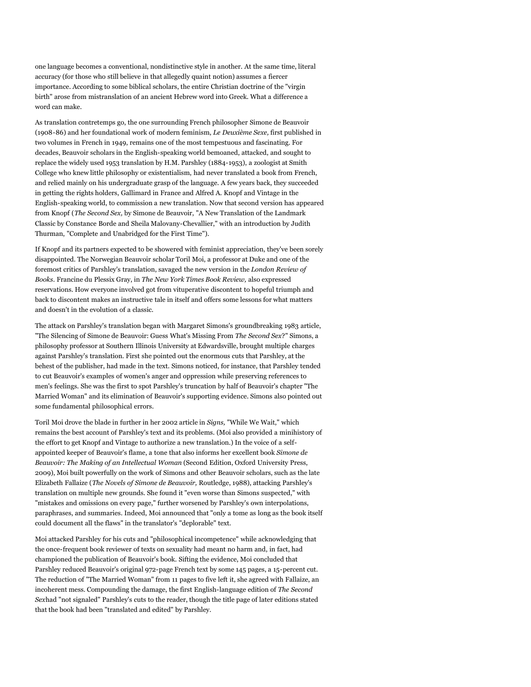one language becomes a conventional, nondistinctive style in another. At the same time, literal accuracy (for those who still believe in that allegedly quaint notion) assumes a fiercer importance. According to some biblical scholars, the entire Christian doctrine of the "virgin birth" arose from mistranslation of an ancient Hebrew word into Greek. What a difference a word can make.

As translation contretemps go, the one surrounding French philosopher Simone de Beauvoir (1908-86) and her foundational work of modern feminism, *Le Deuxième Sexe,* first published in two volumes in French in 1949, remains one of the most tempestuous and fascinating. For decades, Beauvoir scholars in the English-speaking world bemoaned, attacked, and sought to replace the widely used 1953 translation by H.M. Parshley (1884-1953), a zoologist at Smith College who knew little philosophy or existentialism, had never translated a book from French, and relied mainly on his undergraduate grasp of the language. A few years back, they succeeded in getting the rights holders, Gallimard in France and Alfred A. Knopf and Vintage in the English-speaking world, to commission a new translation. Now that second version has appeared from Knopf (*The Second Sex,* by Simone de Beauvoir, "A New Translation of the Landmark Classic by Constance Borde and Sheila Malovany-Chevallier," with an introduction by Judith Thurman, "Complete and Unabridged for the First Time").

If Knopf and its partners expected to be showered with feminist appreciation, they've been sorely disappointed. The Norwegian Beauvoir scholar Toril Moi, a professor at Duke and one of the foremost critics of Parshley's translation, savaged the new version in the *London Review of Books.* Francine du Plessix Gray, in *The New York Times Book Review,* also expressed reservations. How everyone involved got from vituperative discontent to hopeful triumph and back to discontent makes an instructive tale in itself and offers some lessons for what matters and doesn't in the evolution of a classic.

The attack on Parshley's translation began with Margaret Simons's groundbreaking 1983 article, "The Silencing of Simone de Beauvoir: Guess What's Missing From *The Second Sex*?" Simons, a philosophy professor at Southern Illinois University at Edwardsville, brought multiple charges against Parshley's translation. First she pointed out the enormous cuts that Parshley, at the behest of the publisher, had made in the text. Simons noticed, for instance, that Parshley tended to cut Beauvoir's examples of women's anger and oppression while preserving references to men's feelings. She was the first to spot Parshley's truncation by half of Beauvoir's chapter "The Married Woman" and its elimination of Beauvoir's supporting evidence. Simons also pointed out some fundamental philosophical errors.

Toril Moi drove the blade in further in her 2002 article in *Signs,* "While We Wait," which remains the best account of Parshley's text and its problems. (Moi also provided a minihistory of the effort to get Knopf and Vintage to authorize a new translation.) In the voice of a selfappointed keeper of Beauvoir's flame, a tone that also informs her excellent book *Simone de Beauvoir: The Making of an Intellectual Woman* (Second Edition, Oxford University Press, 2009), Moi built powerfully on the work of Simons and other Beauvoir scholars, such as the late Elizabeth Fallaize (*The Novels of Simone de Beauvoir,* Routledge, 1988), attacking Parshley's translation on multiple new grounds. She found it "even worse than Simons suspected," with "mistakes and omissions on every page," further worsened by Parshley's own interpolations, paraphrases, and summaries. Indeed, Moi announced that "only a tome as long as the book itself could document all the flaws" in the translator's "deplorable" text.

Moi attacked Parshley for his cuts and "philosophical incompetence" while acknowledging that the once-frequent book reviewer of texts on sexuality had meant no harm and, in fact, had championed the publication of Beauvoir's book. Sifting the evidence, Moi concluded that Parshley reduced Beauvoir's original 972-page French text by some 145 pages, a 15-percent cut. The reduction of "The Married Woman" from 11 pages to five left it, she agreed with Fallaize, an incoherent mess. Compounding the damage, the first English-language edition of *The Second Sex*had "not signaled" Parshley's cuts to the reader, though the title page of later editions stated that the book had been "translated and edited" by Parshley.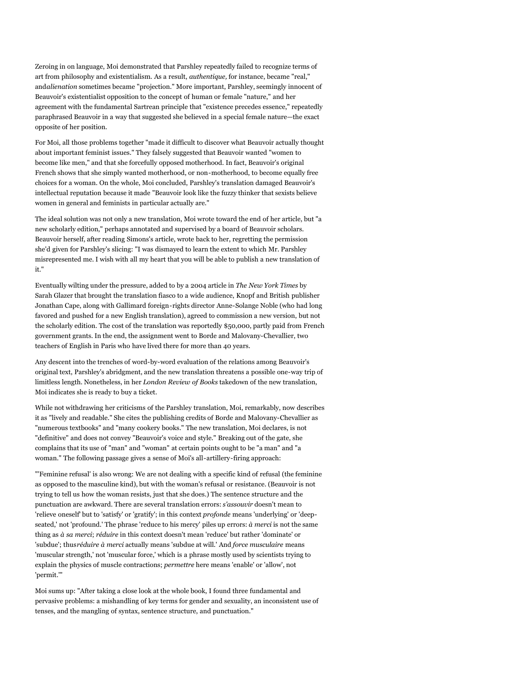Zeroing in on language, Moi demonstrated that Parshley repeatedly failed to recognize terms of art from philosophy and existentialism. As a result, *authentique,* for instance, became "real," and*alienation* sometimes became "projection." More important, Parshley, seemingly innocent of Beauvoir's existentialist opposition to the concept of human or female "nature," and her agreement with the fundamental Sartrean principle that "existence precedes essence," repeatedly paraphrased Beauvoir in a way that suggested she believed in a special female nature—the exact opposite of her position.

For Moi, all those problems together "made it difficult to discover what Beauvoir actually thought about important feminist issues." They falsely suggested that Beauvoir wanted "women to become like men," and that she forcefully opposed motherhood. In fact, Beauvoir's original French shows that she simply wanted motherhood, or non-motherhood, to become equally free choices for a woman. On the whole, Moi concluded, Parshley's translation damaged Beauvoir's intellectual reputation because it made "Beauvoir look like the fuzzy thinker that sexists believe women in general and feminists in particular actually are."

The ideal solution was not only a new translation, Moi wrote toward the end of her article, but "a new scholarly edition," perhaps annotated and supervised by a board of Beauvoir scholars. Beauvoir herself, after reading Simons's article, wrote back to her, regretting the permission she'd given for Parshley's slicing: "I was dismayed to learn the extent to which Mr. Parshley misrepresented me. I wish with all my heart that you will be able to publish a new translation of it."

Eventually wilting under the pressure, added to by a 2004 article in *The New York Times* by Sarah Glazer that brought the translation fiasco to a wide audience, Knopf and British publisher Jonathan Cape, along with Gallimard foreign-rights director Anne-Solange Noble (who had long favored and pushed for a new English translation), agreed to commission a new version, but not the scholarly edition. The cost of the translation was reportedly \$50,000, partly paid from French government grants. In the end, the assignment went to Borde and Malovany-Chevallier, two teachers of English in Paris who have lived there for more than 40 years.

Any descent into the trenches of word-by-word evaluation of the relations among Beauvoir's original text, Parshley's abridgment, and the new translation threatens a possible one-way trip of limitless length. Nonetheless, in her *London Review of Books* takedown of the new translation, Moi indicates she is ready to buy a ticket.

While not withdrawing her criticisms of the Parshley translation, Moi, remarkably, now describes it as "lively and readable." She cites the publishing credits of Borde and Malovany-Chevallier as "numerous textbooks" and "many cookery books." The new translation, Moi declares, is not "definitive" and does not convey "Beauvoir's voice and style." Breaking out of the gate, she complains that its use of "man" and "woman" at certain points ought to be "a man" and "a woman." The following passage gives a sense of Moi's all-artillery-firing approach:

"'Feminine refusal' is also wrong: We are not dealing with a specific kind of refusal (the feminine as opposed to the masculine kind), but with the woman's refusal or resistance. (Beauvoir is not trying to tell us how the woman resists, just that she does.) The sentence structure and the punctuation are awkward. There are several translation errors: *s'assouvir* doesn't mean to 'relieve oneself' but to 'satisfy' or 'gratify'; in this context *profonde* means 'underlying' or 'deepseated,' not 'profound.' The phrase 'reduce to his mercy' piles up errors: *à merci* is not the same thing as *à sa merci*; *réduire* in this context doesn't mean 'reduce' but rather 'dominate' or 'subdue'; thus*réduire à merci* actually means 'subdue at will.' And *force musculaire* means 'muscular strength,' not 'muscular force,' which is a phrase mostly used by scientists trying to explain the physics of muscle contractions; *permettre* here means 'enable' or 'allow', not 'permit.'"

Moi sums up: "After taking a close look at the whole book, I found three fundamental and pervasive problems: a mishandling of key terms for gender and sexuality, an inconsistent use of tenses, and the mangling of syntax, sentence structure, and punctuation."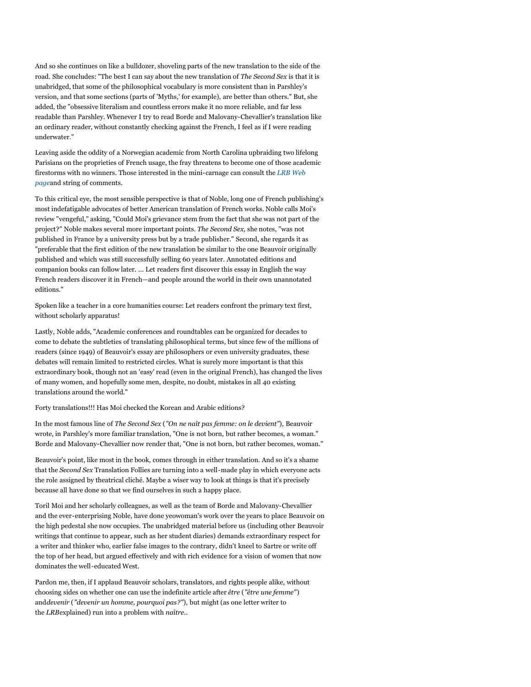And so she continues on like a bulldozer, shoveling parts of the new translation to the side of the road. She concludes: "The best I can say about the new translation of *The Second Sex* is that it is unabridged, that some of the philosophical vocabulary is more consistent than in Parshley's version, and that some sections (parts of 'Myths,' for example), are better than others." But, she added, the "obsessive literalism and countless errors make it no more reliable, and far less readable than Parshley. Whenever I try to read Borde and Malovany-Chevallier's translation like an ordinary reader, without constantly checking against the French, I feel as if I were reading underwater."

Leaving aside the oddity of a Norwegian academic from North Carolina upbraiding two lifelong Parisians on the proprieties of French usage, the fray threatens to become one of those academic [firestorms with no winners. Those interested in the mini-carnage can consult the](http://www.lrb.co.uk/v32/n03/toril-moi/the-adulteress-wife) *LRB Web page*and string of comments.

To this critical eye, the most sensible perspective is that of Noble, long one of French publishing's most indefatigable advocates of better American translation of French works. Noble calls Moi's review "vengeful," asking, "Could Moi's grievance stem from the fact that she was not part of the project?" Noble makes several more important points. *The Second Sex,* she notes, "was not published in France by a university press but by a trade publisher." Second, she regards it as "preferable that the first edition of the new translation be similar to the one Beauvoir originally published and which was still successfully selling 60 years later. Annotated editions and companion books can follow later. ... Let readers first discover this essay in English the way French readers discover it in French—and people around the world in their own unannotated editions."

Spoken like a teacher in a core humanities course: Let readers confront the primary text first, without scholarly apparatus!

Lastly, Noble adds, "Academic conferences and roundtables can be organized for decades to come to debate the subtleties of translating philosophical terms, but since few of the millions of readers (since 1949) of Beauvoir's essay are philosophers or even university graduates, these debates will remain limited to restricted circles. What is surely more important is that this extraordinary book, though not an 'easy' read (even in the original French), has changed the lives of many women, and hopefully some men, despite, no doubt, mistakes in all 40 existing translations around the world."

Forty translations!!! Has Moi checked the Korean and Arabic editions?

In the most famous line of *The Second Sex* (*"On ne naît pas femme: on le devient"*), Beauvoir wrote, in Parshley's more familiar translation, "One is not born, but rather becomes, a woman." Borde and Malovany-Chevallier now render that, "One is not born, but rather becomes, woman."

Beauvoir's point, like most in the book, comes through in either translation. And so it's a shame that the *Second Sex* Translation Follies are turning into a well-made play in which everyone acts the role assigned by theatrical cliché. Maybe a wiser way to look at things is that it's precisely because all have done so that we find ourselves in such a happy place.

Toril Moi and her scholarly colleagues, as well as the team of Borde and Malovany-Chevallier and the ever-enterprising Noble, have done yeowoman's work over the years to place Beauvoir on the high pedestal she now occupies. The unabridged material before us (including other Beauvoir writings that continue to appear, such as her student diaries) demands extraordinary respect for a writer and thinker who, earlier false images to the contrary, didn't kneel to Sartre or write off the top of her head, but argued effectively and with rich evidence for a vision of women that now dominates the well-educated West.

Pardon me, then, if I applaud Beauvoir scholars, translators, and rights people alike, without choosing sides on whether one can use the indefinite article after *être* (*"être une femme"*) and*devenir* (*"devenir un homme, pourquoi pas?"*), but might (as one letter writer to the *LRB*explained) run into a problem with *naître..*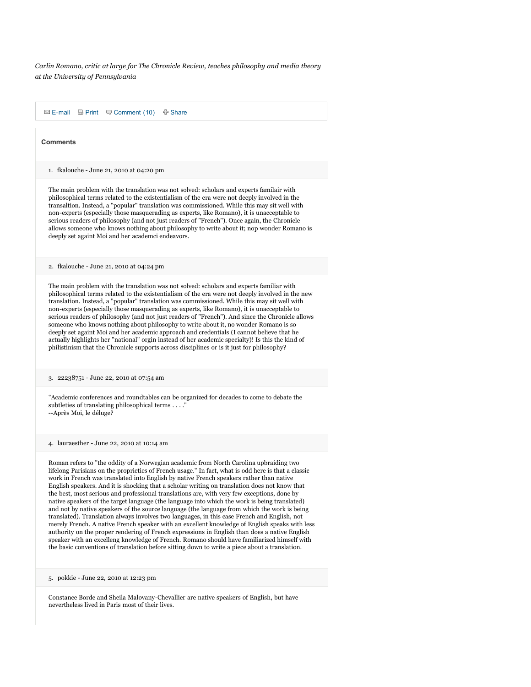*Carlin Romano, critic at large for The Chronicle Review, teaches philosophy and media theory at the University of Pennsylvania*

 $\Box$  [E-mail](http://chronicle.com/myaccount/login?msg=emailfriend)  $\Box$  Print  $\Box$  [Comment \(10\)](http://chronicle.com/article/The-Second-Second-Sex/65962/#comments)  $\Box$  [Share](http://chronicle.com/article/The-Second-Second-Sex/65962/#) 1. fkalouche - June 21, 2010 at 04:20 pm 2. fkalouche - June 21, 2010 at 04:24 pm 3. 22238751 - June 22, 2010 at 07:54 am 4. lauraesther - June 22, 2010 at 10:14 am 5. pokkie - June 22, 2010 at 12:23 pm **Comments** The main problem with the translation was not solved: scholars and experts familair with philosophical terms related to the existentialism of the era were not deeply involved in the transaltion. Instead, a "popular" translation was commissioned. While this may sit well with non-experts (especially those masquerading as experts, like Romano), it is unacceptable to serious readers of philosophy (and not just readers of "French"). Once again, the Chronicle allows someone who knows nothing about philosophy to write about it; nop wonder Romano is deeply set againt Moi and her academci endeavors. The main problem with the translation was not solved: scholars and experts familiar with philosophical terms related to the existentialism of the era were not deeply involved in the new translation. Instead, a "popular" translation was commissioned. While this may sit well with non-experts (especially those masquerading as experts, like Romano), it is unacceptable to serious readers of philosophy (and not just readers of "French"). And since the Chronicle allows someone who knows nothing about philosophy to write about it, no wonder Romano is so deeply set againt Moi and her academic approach and credentials (I cannot believe that he actually highlights her "national" orgin instead of her academic specialty)! Is this the kind of philistinism that the Chronicle supports across disciplines or is it just for philosophy? "Academic conferences and roundtables can be organized for decades to come to debate the subtleties of translating philosophical terms . . . ." --Après Moi, le déluge? Roman refers to "the oddity of a Norwegian academic from North Carolina upbraiding two lifelong Parisians on the proprieties of French usage." In fact, what is odd here is that a classic work in French was translated into English by native French speakers rather than native English speakers. And it is shocking that a scholar writing on translation does not know that the best, most serious and professional translations are, with very few exceptions, done by native speakers of the target language (the language into which the work is being translated) and not by native speakers of the source language (the language from which the work is being translated). Translation always involves two languages, in this case French and English, not merely French. A native French speaker with an excellent knowledge of English speaks with less authority on the proper rendering of French expressions in English than does a native English speaker with an excelleng knowledge of French. Romano should have familiarized himself with the basic conventions of translation before sitting down to write a piece about a translation.

Constance Borde and Sheila Malovany-Chevallier are native speakers of English, but have nevertheless lived in Paris most of their lives.